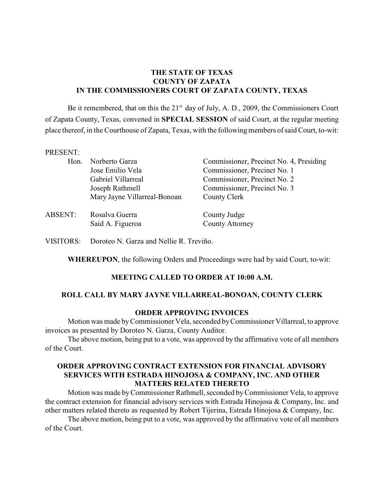### **THE STATE OF TEXAS COUNTY OF ZAPATA IN THE COMMISSIONERS COURT OF ZAPATA COUNTY, TEXAS**

Be it remembered, that on this the  $21<sup>st</sup>$  day of July, A. D., 2009, the Commissioners Court of Zapata County, Texas, convened in **SPECIAL SESSION** of said Court, at the regular meeting place thereof, in the Courthouse of Zapata, Texas, with the following members of said Court, to-wit:

#### PRESENT:

| Hon.           | Norberto Garza<br>Jose Emilio Vela<br>Gabriel Villarreal<br>Joseph Rathmell<br>Mary Jayne Villarreal-Bonoan | Commissioner, Precinct No. 4, Presiding<br>Commissioner, Precinct No. 1<br>Commissioner, Precinct No. 2<br>Commissioner, Precinct No. 3<br>County Clerk |
|----------------|-------------------------------------------------------------------------------------------------------------|---------------------------------------------------------------------------------------------------------------------------------------------------------|
| <b>ABSENT:</b> | Rosalva Guerra<br>Said A. Figueroa                                                                          | County Judge<br><b>County Attorney</b>                                                                                                                  |

VISITORS: Doroteo N. Garza and Nellie R. Treviño.

**WHEREUPON**, the following Orders and Proceedings were had by said Court, to-wit:

### **MEETING CALLED TO ORDER AT 10:00 A.M.**

### **ROLL CALL BY MARY JAYNE VILLARREAL-BONOAN, COUNTY CLERK**

### **ORDER APPROVING INVOICES**

Motion was made byCommissioner Vela, seconded by Commissioner Villarreal, to approve invoices as presented by Doroteo N. Garza, County Auditor.

The above motion, being put to a vote, was approved by the affirmative vote of all members of the Court.

### **ORDER APPROVING CONTRACT EXTENSION FOR FINANCIAL ADVISORY SERVICES WITH ESTRADA HINOJOSA & COMPANY, INC. AND OTHER MATTERS RELATED THERETO**

Motion was made by Commissioner Rathmell, seconded by Commissioner Vela, to approve the contract extension for financial advisory services with Estrada Hinojosa & Company, Inc. and other matters related thereto as requested by Robert Tijerina, Estrada Hinojosa & Company, Inc.

The above motion, being put to a vote, was approved by the affirmative vote of all members of the Court.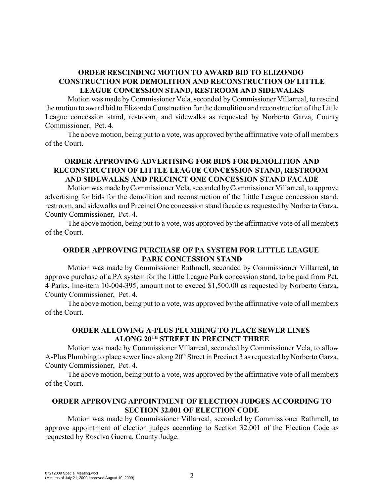# **ORDER RESCINDING MOTION TO AWARD BID TO ELIZONDO CONSTRUCTION FOR DEMOLITION AND RECONSTRUCTION OF LITTLE LEAGUE CONCESSION STAND, RESTROOM AND SIDEWALKS**

Motion was made byCommissioner Vela, seconded by Commissioner Villarreal, to rescind the motion to award bid to Elizondo Construction for the demolition and reconstruction of the Little League concession stand, restroom, and sidewalks as requested by Norberto Garza, County Commissioner, Pct. 4.

The above motion, being put to a vote, was approved by the affirmative vote of all members of the Court.

### **ORDER APPROVING ADVERTISING FOR BIDS FOR DEMOLITION AND RECONSTRUCTION OF LITTLE LEAGUE CONCESSION STAND, RESTROOM AND SIDEWALKS AND PRECINCT ONE CONCESSION STAND FACADE**

Motion was made by Commissioner Vela, seconded byCommissioner Villarreal, to approve advertising for bids for the demolition and reconstruction of the Little League concession stand, restroom, and sidewalks and Precinct One concession stand facade as requested by Norberto Garza, County Commissioner, Pct. 4.

The above motion, being put to a vote, was approved by the affirmative vote of all members of the Court.

### **ORDER APPROVING PURCHASE OF PA SYSTEM FOR LITTLE LEAGUE PARK CONCESSION STAND**

Motion was made by Commissioner Rathmell, seconded by Commissioner Villarreal, to approve purchase of a PA system for the Little League Park concession stand, to be paid from Pct. 4 Parks, line-item 10-004-395, amount not to exceed \$1,500.00 as requested by Norberto Garza, County Commissioner, Pct. 4.

The above motion, being put to a vote, was approved by the affirmative vote of all members of the Court.

# **ORDER ALLOWING A-PLUS PLUMBING TO PLACE SEWER LINES ALONG 20<sup>TH</sup> STREET IN PRECINCT THREE**

Motion was made by Commissioner Villarreal, seconded by Commissioner Vela, to allow A-Plus Plumbing to place sewer lines along 20<sup>th</sup> Street in Precinct 3 as requested by Norberto Garza, County Commissioner, Pct. 4.

The above motion, being put to a vote, was approved by the affirmative vote of all members of the Court.

### **ORDER APPROVING APPOINTMENT OF ELECTION JUDGES ACCORDING TO SECTION 32.001 OF ELECTION CODE**

Motion was made by Commissioner Villarreal, seconded by Commissioner Rathmell, to approve appointment of election judges according to Section 32.001 of the Election Code as requested by Rosalva Guerra, County Judge.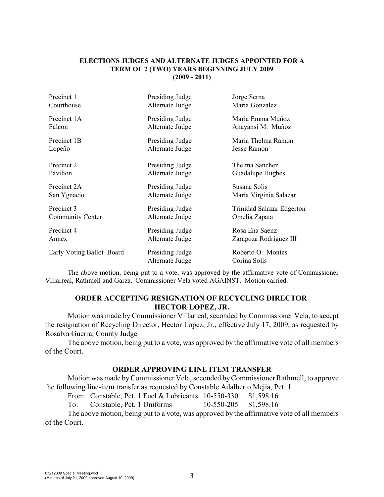#### **ELECTIONS JUDGES AND ALTERNATE JUDGES APPOINTED FOR A TERM OF 2 (TWO) YEARS BEGINNING JULY 2009 (2009 - 2011)**

| Precinct 1                | Presiding Judge | Jorge Serna               |
|---------------------------|-----------------|---------------------------|
| Courthouse                | Alternate Judge | Maria Gonzalez            |
| Precinct 1A               | Presiding Judge | Maria Emma Muñoz          |
| Falcon                    | Alternate Judge | Anayansi M. Muñoz         |
| Precinct 1B               | Presiding Judge | Maria Thelma Ramon        |
| Lopeño                    | Alternate Judge | Jesse Ramon               |
| Precinct 2                | Presiding Judge | Thelma Sanchez            |
| Pavilion                  | Alternate Judge | Guadalupe Hughes          |
| Precinct 2A               | Presiding Judge | Susana Solis              |
| San Ygnacio               | Alternate Judge | Maria Virginia Salazar    |
| Precinct 3                | Presiding Judge | Trinidad Salazar Edgerton |
| Community Center          | Alternate Judge | Omelia Zapata             |
| Precinct 4                | Presiding Judge | Rosa Ena Saenz            |
| Annex                     | Alternate Judge | Zaragoza Rodriguez III    |
| Early Voting Ballot Board | Presiding Judge | Roberto O. Montes         |
|                           | Alternate Judge | Corina Solis              |

The above motion, being put to a vote, was approved by the affirmative vote of Commissioner Villarreal, Rathmell and Garza. Commissioner Vela voted AGAINST. Motion carried.

### **ORDER ACCEPTING RESIGNATION OF RECYCLING DIRECTOR HECTOR LOPEZ, JR.**

Motion was made by Commissioner Villarreal, seconded by Commissioner Vela, to accept the resignation of Recycling Director, Hector Lopez, Jr., effective July 17, 2009, as requested by Rosalva Guerra, County Judge.

The above motion, being put to a vote, was approved by the affirmative vote of all members of the Court.

### **ORDER APPROVING LINE ITEM TRANSFER**

Motion was made byCommissioner Vela, seconded byCommissioner Rathmell, to approve the following line-item transfer as requested by Constable Adalberto Mejia, Pct. 1.

From: Constable, Pct. 1 Fuel & Lubricants 10-550-330 \$1,598.16

To: Constable, Pct. 1 Uniforms 10-550-205 \$1,598.16

The above motion, being put to a vote, was approved by the affirmative vote of all members of the Court.